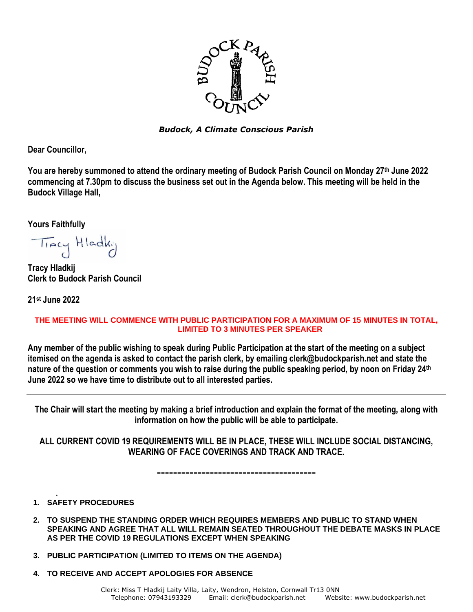

*Budock, A Climate Conscious Parish*

**Dear Councillor,** 

**You are hereby summoned to attend the ordinary meeting of Budock Parish Council on Monday 27th June 2022 commencing at 7.30pm to discuss the business set out in the Agenda below. This meeting will be held in the Budock Village Hall,**

**Yours Faithfully**

Tracy Hladk:

**Tracy Hladkij Clerk to Budock Parish Council**

**21 st June 2022**

## **THE MEETING WILL COMMENCE WITH PUBLIC PARTICIPATION FOR A MAXIMUM OF 15 MINUTES IN TOTAL, LIMITED TO 3 MINUTES PER SPEAKER**

**Any member of the public wishing to speak during Public Participation at the start of the meeting on a subject itemised on the agenda is asked to contact the parish clerk, by emailing clerk@budockparish.net and state the nature of the question or comments you wish to raise during the public speaking period, by noon on Friday 24 th June 2022 so we have time to distribute out to all interested parties.**

**The Chair will start the meeting by making a brief introduction and explain the format of the meeting, along with information on how the public will be able to participate.**

**ALL CURRENT COVID 19 REQUIREMENTS WILL BE IN PLACE, THESE WILL INCLUDE SOCIAL DISTANCING, WEARING OF FACE COVERINGS AND TRACK AND TRACE.**

**---------------------------------------**

- . **1. SAFETY PROCEDURES**
- **2. TO SUSPEND THE STANDING ORDER WHICH REQUIRES MEMBERS AND PUBLIC TO STAND WHEN SPEAKING AND AGREE THAT ALL WILL REMAIN SEATED THROUGHOUT THE DEBATE MASKS IN PLACE AS PER THE COVID 19 REGULATIONS EXCEPT WHEN SPEAKING**
- **3. PUBLIC PARTICIPATION (LIMITED TO ITEMS ON THE AGENDA)**
- **4. TO RECEIVE AND ACCEPT APOLOGIES FOR ABSENCE**